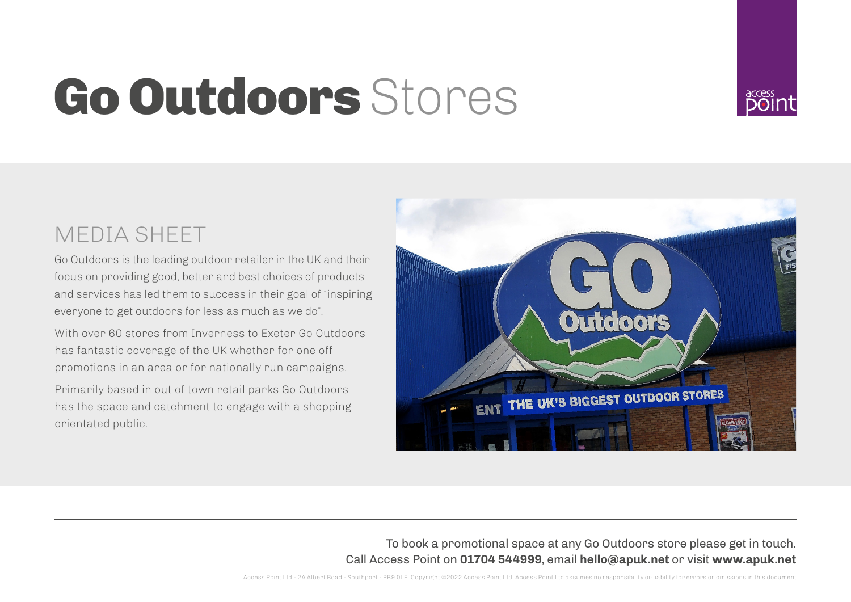## Go Outdoors Stores



## MEDIA SHEET

Go Outdoors is the leading outdoor retailer in the UK and their focus on providing good, better and best choices of products and services has led them to success in their goal of "inspiring everyone to get outdoors for less as much as we do".

With over 60 stores from Inverness to Exeter Go Outdoors has fantastic coverage of the UK whether for one off promotions in an area or for nationally run campaigns.

Primarily based in out of town retail parks Go Outdoors has the space and catchment to engage with a shopping orientated public.



To book a promotional space at any Go Outdoors store please get in touch. Call Access Point on **01704 544999**, email **hello@apuk.net** or visit **www.apuk.net**